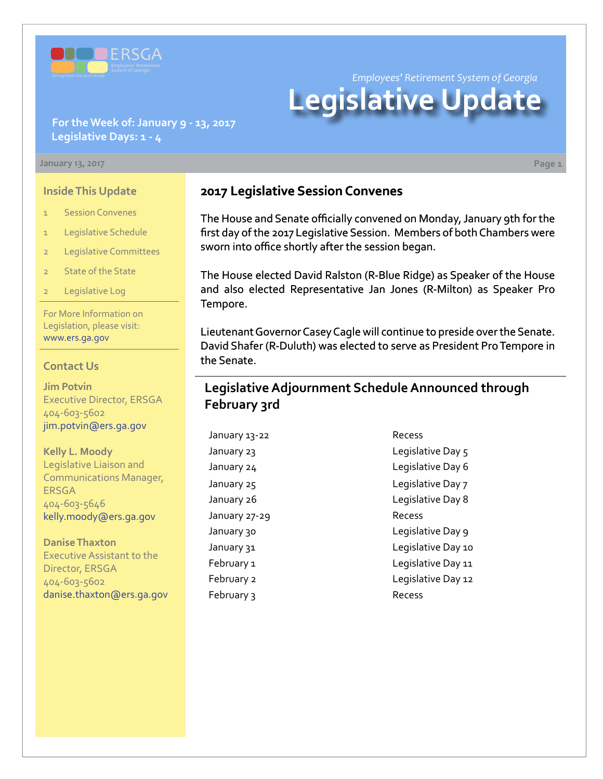

*Employees' Retirement System of Georgia*

# **Legislative Update**

### **For the Week of: January 9 - 13, 2017 Legislative Days: 1 - 4**

#### **January 13, 2017 Page 1**

#### **Inside This Update**

- 1 Session Convenes
- 1 Legislative Schedule
- 2 Legislative Committees
- 2 State of the State
- 2 Legislative Log

For More Information on Legislation, please visit: [www.ers.ga.gov](http://www.ers.ga.gov/default.aspx)

#### **Contact Us**

**Jim Potvin** Executive Director, ERSGA 404-603-5602 jim.potvin@ers.ga.gov

**Kelly L. Moody** Legislative Liaison and Communications Manager, ERSGA 404-603-5646 kelly.moody@ers.ga.gov

**Danise Thaxton** Executive Assistant to the Director, ERSGA 404-603-5602 danise.thaxton@ers.ga.gov

## **2017 Legislative Session Convenes**

The House and Senate officially convened on Monday, January 9th for the first day of the 2017 Legislative Session. Members of both Chambers were sworn into office shortly after the session began.

The House elected David Ralston (R-Blue Ridge) as Speaker of the House and also elected Representative Jan Jones (R-Milton) as Speaker Pro Tempore.

Lieutenant Governor Casey Cagle will continue to preside over the Senate. David Shafer (R-Duluth) was elected to serve as President Pro Tempore in the Senate.

## **Legislative Adjournment Schedule Announced through February 3rd**

January 13-22 Recess January 27-29 Recess February 3 Recess

January 23 Legislative Day 5 January 24 degree of the Legislative Day 6 January 25 **Legislative Day 7** January 26 **Legislative Day 8** January 30 **Legislative Day 9** January 31 diagnosis of the United States Capacitative Day 10 February 1 and 1 Legislative Day 11 February 2 **Legislative Day 12**